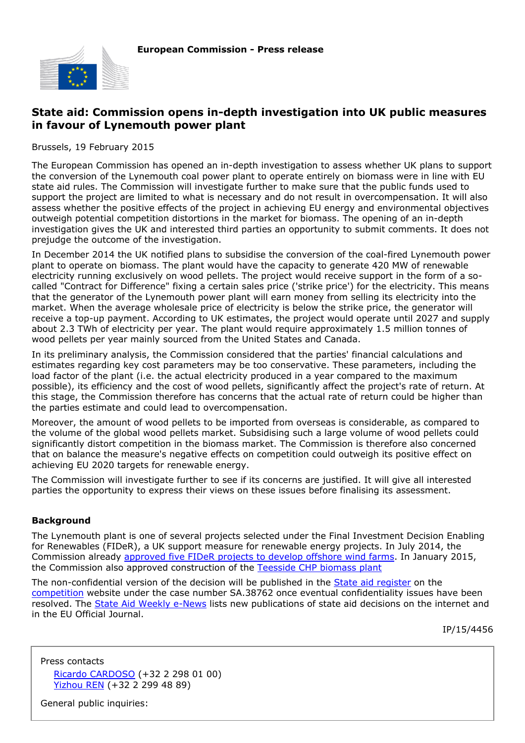

## **State aid: Commission opens in-depth investigation into UK public measures in favour of Lynemouth power plant**

Brussels, 19 February 2015

The European Commission has opened an in-depth investigation to assess whether UK plans to support the conversion of the Lynemouth coal power plant to operate entirely on biomass were in line with EU state aid rules. The Commission will investigate further to make sure that the public funds used to support the project are limited to what is necessary and do not result in overcompensation. It will also assess whether the positive effects of the project in achieving EU energy and environmental objectives outweigh potential competition distortions in the market for biomass. The opening of an in-depth investigation gives the UK and interested third parties an opportunity to submit comments. It does not prejudge the outcome of the investigation.

In December 2014 the UK notified plans to subsidise the conversion of the coal-fired Lynemouth power plant to operate on biomass. The plant would have the capacity to generate 420 MW of renewable electricity running exclusively on wood pellets. The project would receive support in the form of a socalled "Contract for Difference" fixing a certain sales price ('strike price') for the electricity. This means that the generator of the Lynemouth power plant will earn money from selling its electricity into the market. When the average wholesale price of electricity is below the strike price, the generator will receive a top-up payment. According to UK estimates, the project would operate until 2027 and supply about 2.3 TWh of electricity per year. The plant would require approximately 1.5 million tonnes of wood pellets per year mainly sourced from the United States and Canada.

In its preliminary analysis, the Commission considered that the parties' financial calculations and estimates regarding key cost parameters may be too conservative. These parameters, including the load factor of the plant (i.e. the actual electricity produced in a year compared to the maximum possible), its efficiency and the cost of wood pellets, significantly affect the project's rate of return. At this stage, the Commission therefore has concerns that the actual rate of return could be higher than the parties estimate and could lead to overcompensation.

Moreover, the amount of wood pellets to be imported from overseas is considerable, as compared to the volume of the global wood pellets market. Subsidising such a large volume of wood pellets could significantly distort competition in the biomass market. The Commission is therefore also concerned that on balance the measure's negative effects on competition could outweigh its positive effect on achieving EU 2020 targets for renewable energy.

The Commission will investigate further to see if its concerns are justified. It will give all interested parties the opportunity to express their views on these issues before finalising its assessment.

## **Background**

The Lynemouth plant is one of several projects selected under the Final Investment Decision Enabling for Renewables (FIDeR), a UK support measure for renewable energy projects. In July 2014, the Commission already [approved five FIDeR projects to develop offshore wind farms.](http://europa.eu/rapid/press-release_IP-14-866_en.htm) In January 2015, the Commission also approved construction of the [Teesside CHP biomass plant](http://europa.eu/rapid/press-release_IP-15-3601_en.htm)

The non-confidential version of the decision will be published in the [State aid register](http://ec.europa.eu/competition/state_aid/register/) on the [competition](http://ec.europa.eu/competition/index_en.html) website under the case number SA.38762 once eventual confidentiality issues have been resolved. The [State Aid Weekly e-News](http://ec.europa.eu/competition/state_aid/newsletter/index.html) lists new publications of state aid decisions on the internet and in the EU Official Journal.

IP/15/4456

Press contacts [Ricardo CARDOSO](mailto:ricardo.cardoso@ec.europa.eu) (+32 2 298 01 00) [Yizhou REN](mailto:Yizhou.REN@ec.europa.eu) (+32 2 299 48 89)

General public inquiries: